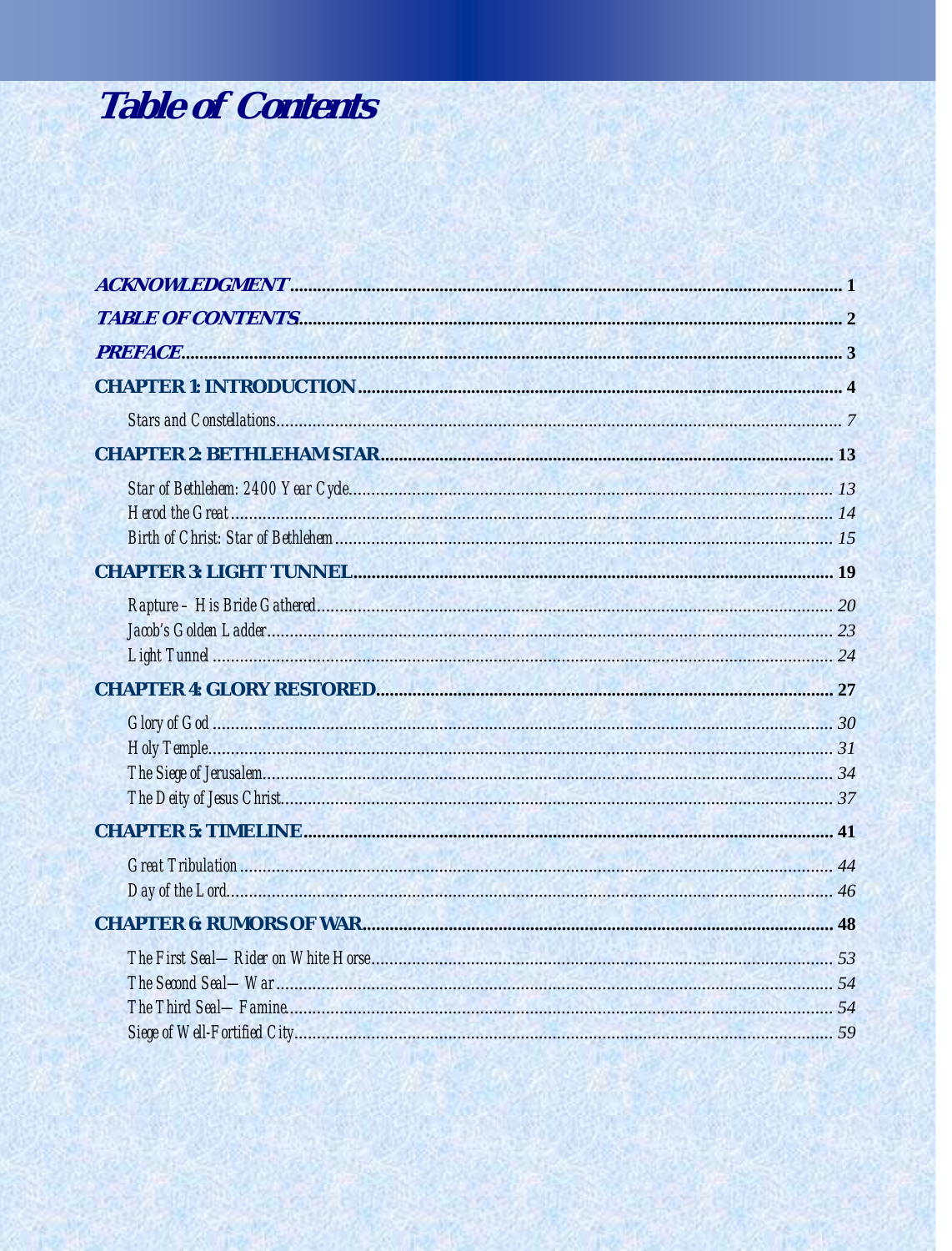## **Table of Contents**